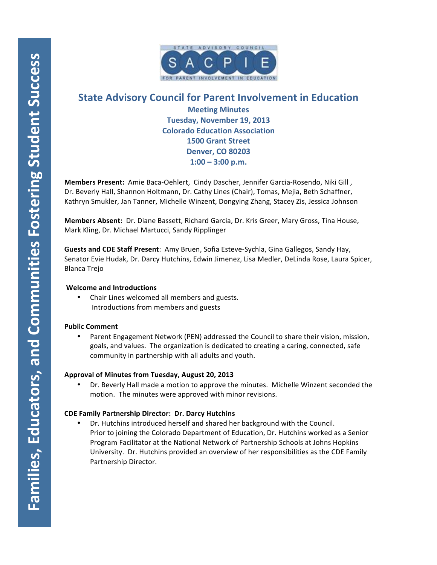

# **State Advisory Council for Parent Involvement in Education**

**Meeting Minutes Tuesday, November 19, 2013 Colorado Education Association 1500 Grant Street Denver, CO 80203 1:00 – 3:00 p.m.**

**Members Present:** Amie Baca-Oehlert, Cindy Dascher, Jennifer Garcia-Rosendo, Niki Gill, Dr. Beverly Hall, Shannon Holtmann, Dr. Cathy Lines (Chair), Tomas, Mejia, Beth Schaffner, Kathryn Smukler, Jan Tanner, Michelle Winzent, Dongying Zhang, Stacey Zis, Jessica Johnson

Members Absent: Dr. Diane Bassett, Richard Garcia, Dr. Kris Greer, Mary Gross, Tina House, Mark Kling, Dr. Michael Martucci, Sandy Ripplinger

**Guests and CDE Staff Present**: Amy Bruen, Sofia Esteve-Sychla, Gina Gallegos, Sandy Hay, Senator Evie Hudak, Dr. Darcy Hutchins, Edwin Jimenez, Lisa Medler, DeLinda Rose, Laura Spicer, Blanca Trejo

## **Welcome and Introductions**

Chair Lines welcomed all members and guests. Introductions from members and guests

## **Public Comment**

• Parent Engagement Network (PEN) addressed the Council to share their vision, mission, goals, and values. The organization is dedicated to creating a caring, connected, safe community in partnership with all adults and youth.

## Approval of Minutes from Tuesday, August 20, 2013

Dr. Beverly Hall made a motion to approve the minutes. Michelle Winzent seconded the motion. The minutes were approved with minor revisions.

### **CDE Family Partnership Director: Dr. Darcy Hutchins**

Dr. Hutchins introduced herself and shared her background with the Council. Prior to joining the Colorado Department of Education, Dr. Hutchins worked as a Senior Program Facilitator at the National Network of Partnership Schools at Johns Hopkins University. Dr. Hutchins provided an overview of her responsibilities as the CDE Family Partnership Director.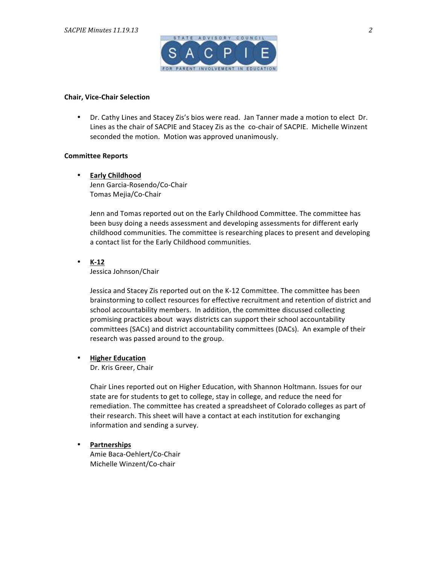

#### **Chair, Vice-Chair Selection**

• Dr. Cathy Lines and Stacey Zis's bios were read. Jan Tanner made a motion to elect Dr. Lines as the chair of SACPIE and Stacey Zis as the co-chair of SACPIE. Michelle Winzent seconded the motion. Motion was approved unanimously.

#### **Committee Reports**

• **Early Childhood** Jenn Garcia-Rosendo/Co-Chair Tomas Mejia/Co-Chair

> Jenn and Tomas reported out on the Early Childhood Committee. The committee has been busy doing a needs assessment and developing assessments for different early childhood communities. The committee is researching places to present and developing a contact list for the Early Childhood communities.

• **K-12**

Jessica Johnson/Chair

Jessica and Stacey Zis reported out on the K-12 Committee. The committee has been brainstorming to collect resources for effective recruitment and retention of district and school accountability members. In addition, the committee discussed collecting promising practices about ways districts can support their school accountability committees (SACs) and district accountability committees (DACs). An example of their research was passed around to the group.

• **Higher Education**

Dr. Kris Greer, Chair

Chair Lines reported out on Higher Education, with Shannon Holtmann. Issues for our state are for students to get to college, stay in college, and reduce the need for remediation. The committee has created a spreadsheet of Colorado colleges as part of their research. This sheet will have a contact at each institution for exchanging information and sending a survey.

• **Partnerships**

Amie Baca-Oehlert/Co-Chair Michelle Winzent/Co-chair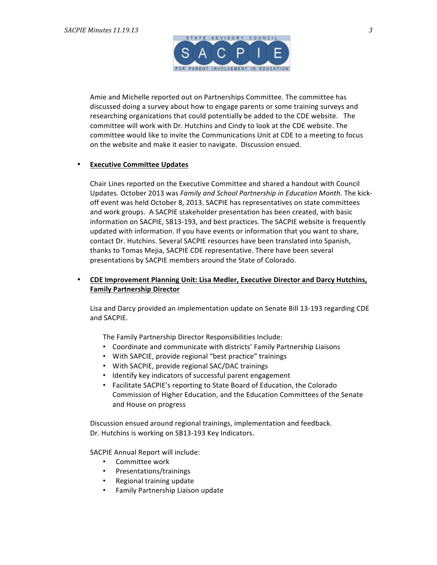

Amie and Michelle reported out on Partnerships Committee. The committee has discussed doing a survey about how to engage parents or some training surveys and researching organizations that could potentially be added to the CDE website. The committee will work with Dr. Hutchins and Cindy to look at the CDE website. The committee would like to invite the Communications Unit at CDE to a meeting to focus on the website and make it easier to navigate. Discussion ensued.

#### **Executive Committee Updates**

Chair Lines reported on the Executive Committee and shared a handout with Council Updates. October 2013 was *Family and School Partnership in Education Month.* The kickoff event was held October 8, 2013. SACPIE has representatives on state committees and work groups. A SACPIE stakeholder presentation has been created, with basic information on SACPIE, SB13-193, and best practices. The SACPIE website is frequently updated with information. If you have events or information that you want to share, contact Dr. Hutchins. Several SACPIE resources have been translated into Spanish, thanks to Tomas Mejia, SACPIE CDE representative. There have been several presentations by SACPIE members around the State of Colorado.

### • CDE Improvement Planning Unit: Lisa Medler, Executive Director and Darcy Hutchins, **Family Partnership Director**

Lisa and Darcy provided an implementation update on Senate Bill 13-193 regarding CDE and SACPIE.

The Family Partnership Director Responsibilities Include:

- Coordinate and communicate with districts' Family Partnership Liaisons
- With SAPCIE, provide regional "best practice" trainings
- With SACPIE, provide regional SAC/DAC trainings
- Identify key indicators of successful parent engagement
- Facilitate SACPIE's reporting to State Board of Education, the Colorado Commission of Higher Education, and the Education Committees of the Senate and House on progress

Discussion ensued around regional trainings, implementation and feedback. Dr. Hutchins is working on SB13-193 Key Indicators.

SACPIE Annual Report will include:

- Committee work
- Presentations/trainings
- Regional training update
- Family Partnership Liaison update